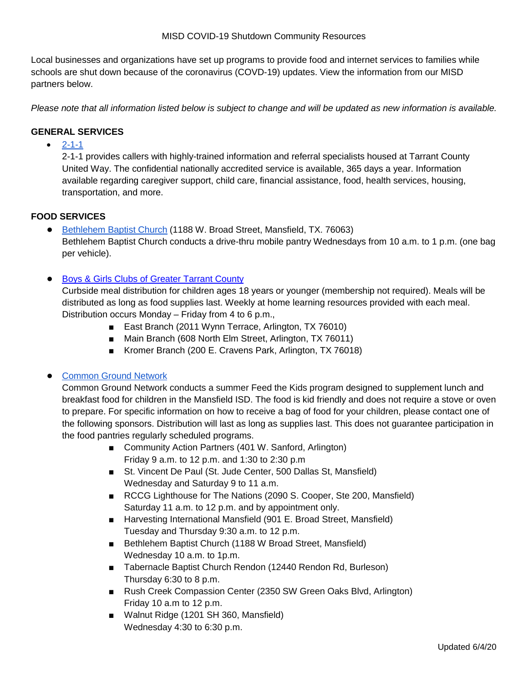Local businesses and organizations have set up programs to provide food and internet services to families while schools are shut down because of the coronavirus (COVD-19) updates. View the information from our MISD partners below.

*Please note that all information listed below is subject to change and will be updated as new information is available.* 

## **GENERAL SERVICES**

 $• 2 - 1 - 1$ 

2-1-1 provides callers with highly-trained information and referral specialists housed at Tarrant County United Way. The confidential nationally accredited service is available, 365 days a year. Information available regarding caregiver support, child care, financial assistance, food, health services, housing, transportation, and more.

## **FOOD SERVICES**

- [Bethlehem Baptist Church](https://www.bethlehemmansfield.org/) (1188 W. Broad Street, Mansfield, TX. 76063) Bethlehem Baptist Church conducts a drive-thru mobile pantry Wednesdays from 10 a.m. to 1 p.m. (one bag per vehicle).
- [Boys & Girls Clubs of Greater Tarrant County](https://www.bgcgtc.org/)

Curbside meal distribution for children ages 18 years or younger (membership not required). Meals will be distributed as long as food supplies last. Weekly at home learning resources provided with each meal. Distribution occurs Monday – Friday from 4 to 6 p.m.,

- East Branch (2011 Wynn Terrace, Arlington, TX 76010)
- Main Branch (608 North Elm Street, Arlington, TX 76011)
- Kromer Branch (200 E. Cravens Park, Arlington, TX 76018)

## ● Common Ground Network

Common Ground Network conducts a summer Feed the Kids program designed to supplement lunch and breakfast food for children in the Mansfield ISD. The food is kid friendly and does not require a stove or oven to prepare. For specific information on how to receive a bag of food for your children, please contact one of the following sponsors. Distribution will last as long as supplies last. This does not guarantee participation in the food pantries regularly scheduled programs.

- Community Action Partners (401 W. Sanford, Arlington) Friday 9 a.m. to 12 p.m. and 1:30 to 2:30 p.m
- St. Vincent De Paul (St. Jude Center, 500 Dallas St, Mansfield) Wednesday and Saturday 9 to 11 a.m.
- RCCG Lighthouse for The Nations (2090 S. Cooper, Ste 200, Mansfield) Saturday 11 a.m. to 12 p.m. and by appointment only.
- Harvesting International Mansfield (901 E. Broad Street, Mansfield) Tuesday and Thursday 9:30 a.m. to 12 p.m.
- Bethlehem Baptist Church (1188 W Broad Street, Mansfield) Wednesday 10 a.m. to 1p.m.
- Tabernacle Baptist Church Rendon (12440 Rendon Rd, Burleson) Thursday 6:30 to 8 p.m.
- Rush Creek Compassion Center (2350 SW Green Oaks Blvd, Arlington) Friday 10 a.m to 12 p.m.
- Walnut Ridge (1201 SH 360, Mansfield) Wednesday 4:30 to 6:30 p.m.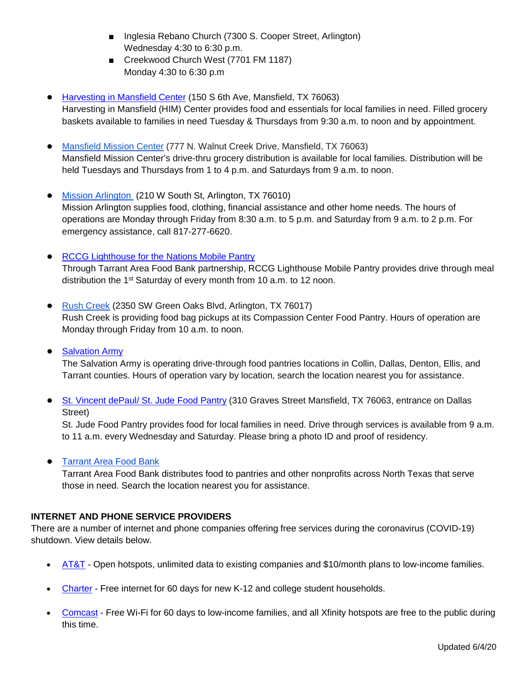- Inglesia Rebano Church (7300 S. Cooper Street, Arlington) Wednesday 4:30 to 6:30 p.m.
- Creekwood Church West (7701 FM 1187) Monday 4:30 to 6:30 p.m
- [Harvesting in Mansfield Center](https://himcenter.org/) (150 S 6th Ave, Mansfield, TX 76063) Harvesting in Mansfield (HIM) Center provides food and essentials for local families in need. Filled grocery baskets available to families in need Tuesday & Thursdays from 9:30 a.m. to noon and by appointment.
- [Mansfield Mission Center](https://www.mansfieldmission.org/) (777 N. Walnut Creek Drive, Mansfield, TX 76063) Mansfield Mission Center's drive-thru grocery distribution is available for local families. Distribution will be held Tuesdays and Thursdays from 1 to 4 p.m. and Saturdays from 9 a.m. to noon.
- [Mission Arlington](https://missionarlington.org/) (210 W South St, Arlington, TX 76010) Mission Arlington supplies food, clothing, financial assistance and other home needs. The hours of operations are Monday through Friday from 8:30 a.m. to 5 p.m. and Saturday from 9 a.m. to 2 p.m. For emergency assistance, call 817-277-6620.
- **[RCCG Lighthouse for the Nations Mobile Pantry](https://rccglighthouse.org/)** Through Tarrant Area Food Bank partnership, RCCG Lighthouse Mobile Pantry provides drive through meal distribution the 1<sup>st</sup> Saturday of every month from 10 a.m. to 12 noon.
- [Rush Creek](https://rushcreek.org/coronavirus/) (2350 SW Green Oaks Blvd, Arlington, TX 76017) Rush Creek is providing food bag pickups at its Compassion Center Food Pantry. Hours of operation are Monday through Friday from 10 a.m. to noon.
- Salvation Army

The Salvation Army is operating drive-through food pantries locations in Collin, Dallas, Denton, Ellis, and Tarrant counties. Hours of operation vary by location, search the location nearest you for assistance.

● [St. Vincent dePaul/ St. Jude Food Pantry](https://www.stjudemansfieldtx.org/) (310 Graves Street Mansfield, TX 76063, entrance on Dallas Street)

St. Jude Food Pantry provides food for local families in need. Drive through services is available from 9 a.m. to 11 a.m. every Wednesday and Saturday. Please bring a photo ID and proof of residency.

**[Tarrant Area Food Bank](http://www.tafb.org/find-food)** 

Tarrant Area Food Bank distributes food to pantries and other nonprofits across North Texas that serve those in need. Search the location nearest you for assistance.

## **INTERNET AND PHONE SERVICE PROVIDERS**

There are a number of internet and phone companies offering free services during the coronavirus (COVID-19) shutdown. View details below.

- [AT&T](https://about.att.com/pages/COVID-19.html) Open hotspots, unlimited data to existing companies and \$10/month plans to low-income families.
- [Charter](https://corporate.charter.com/newsroom/charter-to-offer-free-access-to-spectrum-broadband-and-wifi-for-60-days-for-new-K12-and-college-student-households-and-more) Free internet for 60 days for new K-12 and college student households.
- [Comcast](https://corporate.comcast.com/covid-19) Free Wi-Fi for 60 days to low-income families, and all Xfinity hotspots are free to the public during this time.